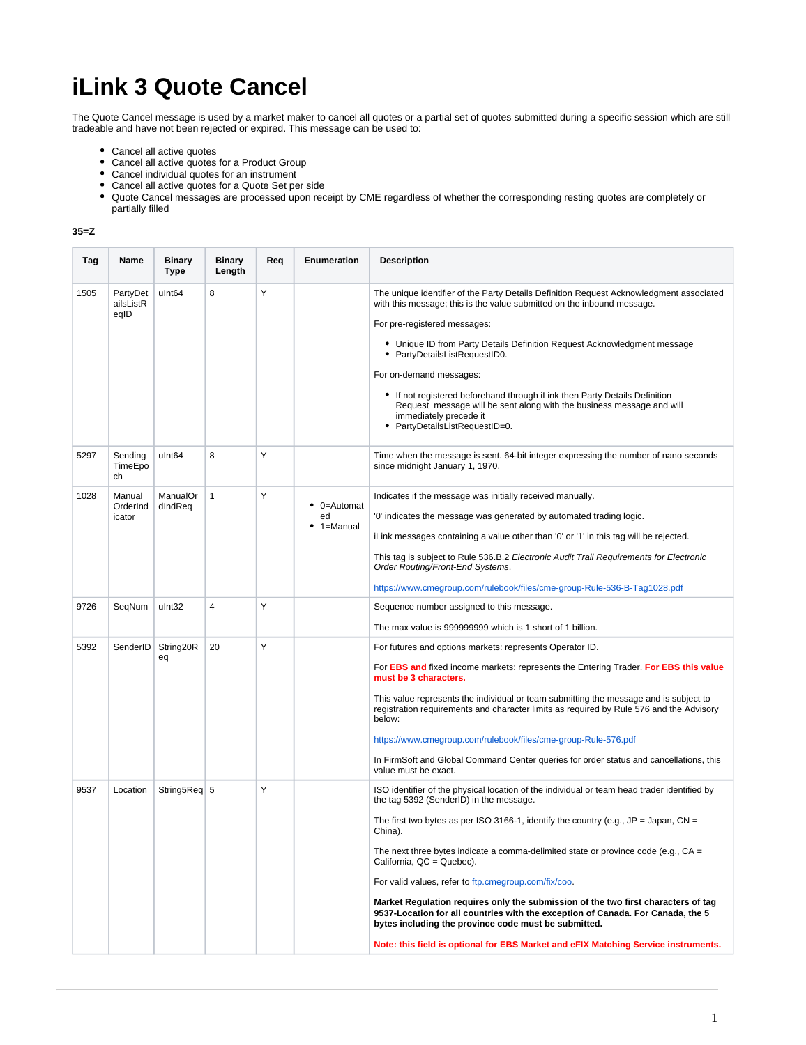## **iLink 3 Quote Cancel**

The Quote Cancel message is used by a market maker to cancel all quotes or a partial set of quotes submitted during a specific session which are still tradeable and have not been rejected or expired. This message can be used to:

- Cancel all active quotes
- Cancel all active quotes for a Product Group
- Cancel individual quotes for an instrument
- Cancel all active quotes for a Quote Set per side
- Quote Cancel messages are processed upon receipt by CME regardless of whether the corresponding resting quotes are completely or partially filled

## **35=Z**

| Tag  | Name                          | <b>Binary</b><br>Type | <b>Binary</b><br>Length | Req | Enumeration                                 | <b>Description</b>                                                                                                                                                                                                           |
|------|-------------------------------|-----------------------|-------------------------|-----|---------------------------------------------|------------------------------------------------------------------------------------------------------------------------------------------------------------------------------------------------------------------------------|
| 1505 | PartyDet<br>ailsListR<br>eqID | ulnt <sub>64</sub>    | 8                       | Y   |                                             | The unique identifier of the Party Details Definition Request Acknowledgment associated<br>with this message; this is the value submitted on the inbound message.                                                            |
|      |                               |                       |                         |     |                                             | For pre-registered messages:                                                                                                                                                                                                 |
|      |                               |                       |                         |     |                                             | • Unique ID from Party Details Definition Request Acknowledgment message<br>• PartyDetailsListRequestID0.                                                                                                                    |
|      |                               |                       |                         |     |                                             | For on-demand messages:                                                                                                                                                                                                      |
|      |                               |                       |                         |     |                                             | • If not registered beforehand through iLink then Party Details Definition<br>Request message will be sent along with the business message and will<br>immediately precede it<br>• PartyDetailsListRequestID=0.              |
| 5297 | Sending<br>TimeEpo<br>ch      | ulnt <sub>64</sub>    | 8                       | Y   |                                             | Time when the message is sent. 64-bit integer expressing the number of nano seconds<br>since midnight January 1, 1970.                                                                                                       |
| 1028 | Manual<br>OrderInd<br>icator  | ManualOr<br>dIndReq   | $\mathbf{1}$            | Y   | $\bullet$ 0=Automat<br>ed<br>$• 1 =$ Manual | Indicates if the message was initially received manually.                                                                                                                                                                    |
|      |                               |                       |                         |     |                                             | '0' indicates the message was generated by automated trading logic.                                                                                                                                                          |
|      |                               |                       |                         |     |                                             | iLink messages containing a value other than '0' or '1' in this tag will be rejected.                                                                                                                                        |
|      |                               |                       |                         |     |                                             | This tag is subject to Rule 536.B.2 Electronic Audit Trail Requirements for Electronic<br>Order Routing/Front-End Systems.                                                                                                   |
|      |                               |                       |                         |     |                                             | https://www.cmegroup.com/rulebook/files/cme-group-Rule-536-B-Tag1028.pdf                                                                                                                                                     |
| 9726 | SegNum                        | ulnt32                | 4                       | Y   |                                             | Sequence number assigned to this message.                                                                                                                                                                                    |
|      |                               |                       |                         |     |                                             | The max value is 999999999 which is 1 short of 1 billion.                                                                                                                                                                    |
| 5392 | SenderID                      | String20R<br>eq       | 20                      | Υ   |                                             | For futures and options markets: represents Operator ID.                                                                                                                                                                     |
|      |                               |                       |                         |     |                                             | For EBS and fixed income markets: represents the Entering Trader. For EBS this value<br>must be 3 characters.                                                                                                                |
|      |                               |                       |                         |     |                                             | This value represents the individual or team submitting the message and is subject to<br>registration requirements and character limits as required by Rule 576 and the Advisory<br>below:                                   |
|      |                               |                       |                         |     |                                             | https://www.cmegroup.com/rulebook/files/cme-group-Rule-576.pdf                                                                                                                                                               |
|      |                               |                       |                         |     |                                             | In FirmSoft and Global Command Center queries for order status and cancellations, this<br>value must be exact.                                                                                                               |
| 9537 | Location                      | String5Req 5          |                         | Y   |                                             | ISO identifier of the physical location of the individual or team head trader identified by<br>the tag 5392 (SenderID) in the message.                                                                                       |
|      |                               |                       |                         |     |                                             | The first two bytes as per ISO 3166-1, identify the country (e.g., $JP = Japan$ , $CN =$<br>China).                                                                                                                          |
|      |                               |                       |                         |     |                                             | The next three bytes indicate a comma-delimited state or province code (e.g., $CA =$<br>California, QC = Quebec).                                                                                                            |
|      |                               |                       |                         |     |                                             | For valid values, refer to ftp.cmegroup.com/fix/coo.                                                                                                                                                                         |
|      |                               |                       |                         |     |                                             | Market Regulation reguires only the submission of the two first characters of tag<br>9537-Location for all countries with the exception of Canada. For Canada, the 5<br>bytes including the province code must be submitted. |
|      |                               |                       |                         |     |                                             | Note: this field is optional for EBS Market and eFIX Matching Service instruments.                                                                                                                                           |